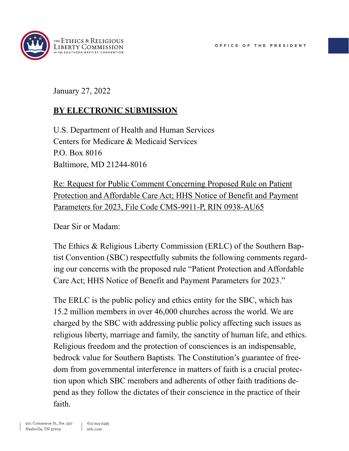

January 27, 2022

#### **BY ELECTRONIC SUBMISSION**

U.S. Department of Health and Human Services Centers for Medicare & Medicaid Services P.O. Box 8016 Baltimore, MD 21244-8016

Re: Request for Public Comment Concerning Proposed Rule on Patient Protection and Affordable Care Act; HHS Notice of Benefit and Payment Parameters for 2023, File Code CMS-9911-P, RIN 0938-AU65

Dear Sir or Madam:

The Ethics & Religious Liberty Commission (ERLC) of the Southern Baptist Convention (SBC) respectfully submits the following comments regarding our concerns with the proposed rule "Patient Protection and Affordable Care Act; HHS Notice of Benefit and Payment Parameters for 2023."

The ERLC is the public policy and ethics entity for the SBC, which has 15.2 million members in over 46,000 churches across the world. We are charged by the SBC with addressing public policy affecting such issues as religious liberty, marriage and family, the sanctity of human life, and ethics. Religious freedom and the protection of consciences is an indispensable, bedrock value for Southern Baptists. The Constitution's guarantee of freedom from governmental interference in matters of faith is a crucial protection upon which SBC members and adherents of other faith traditions depend as they follow the dictates of their conscience in the practice of their faith.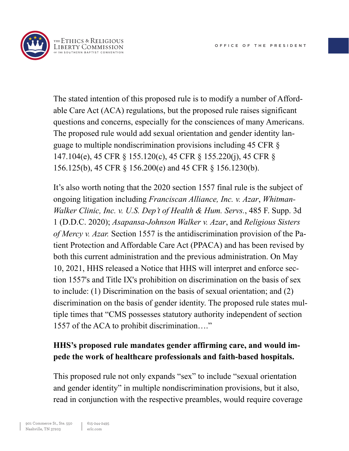

The stated intention of this proposed rule is to modify a number of Affordable Care Act (ACA) regulations, but the proposed rule raises significant questions and concerns, especially for the consciences of many Americans. The proposed rule would add sexual orientation and gender identity language to multiple nondiscrimination provisions including 45 CFR § 147.104(e), 45 CFR § 155.120(c), 45 CFR § 155.220(j), 45 CFR § 156.125(b), 45 CFR § 156.200(e) and 45 CFR § 156.1230(b).

It's also worth noting that the 2020 section 1557 final rule is the subject of ongoing litigation including *Franciscan Alliance, Inc. v. Azar*, *Whitman-Walker Clinic, Inc. v. U.S. Dep't of Health & Hum. Servs.*, 485 F. Supp. 3d 1 (D.D.C. 2020); *Asapansa-Johnson Walker v. Azar*, and *Religious Sisters of Mercy v. Azar.* Section 1557 is the antidiscrimination provision of the Patient Protection and Affordable Care Act (PPACA) and has been revised by both this current administration and the previous administration. On May 10, 2021, HHS released a Notice that HHS will interpret and enforce section 1557's and Title IX's prohibition on discrimination on the basis of sex to include: (1) Discrimination on the basis of sexual orientation; and (2) discrimination on the basis of gender identity. The proposed rule states multiple times that "CMS possesses statutory authority independent of section 1557 of the ACA to prohibit discrimination…."

#### **HHS's proposed rule mandates gender affirming care, and would impede the work of healthcare professionals and faith-based hospitals.**

This proposed rule not only expands "sex" to include "sexual orientation and gender identity" in multiple nondiscrimination provisions, but it also, read in conjunction with the respective preambles, would require coverage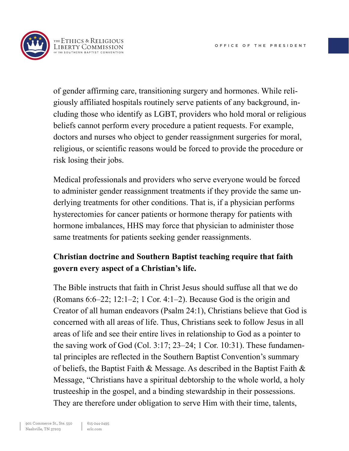

of gender affirming care, transitioning surgery and hormones. While religiously affiliated hospitals routinely serve patients of any background, including those who identify as LGBT, providers who hold moral or religious beliefs cannot perform every procedure a patient requests. For example, doctors and nurses who object to gender reassignment surgeries for moral, religious, or scientific reasons would be forced to provide the procedure or risk losing their jobs.

Medical professionals and providers who serve everyone would be forced to administer gender reassignment treatments if they provide the same underlying treatments for other conditions. That is, if a physician performs hysterectomies for cancer patients or hormone therapy for patients with hormone imbalances, HHS may force that physician to administer those same treatments for patients seeking gender reassignments.

# **Christian doctrine and Southern Baptist teaching require that faith govern every aspect of a Christian's life.**

The Bible instructs that faith in Christ Jesus should suffuse all that we do (Romans 6:6–22; 12:1–2; 1 Cor. 4:1–2). Because God is the origin and Creator of all human endeavors (Psalm 24:1), Christians believe that God is concerned with all areas of life. Thus, Christians seek to follow Jesus in all areas of life and see their entire lives in relationship to God as a pointer to the saving work of God (Col. 3:17; 23–24; 1 Cor. 10:31). These fundamental principles are reflected in the Southern Baptist Convention's summary of beliefs, the Baptist Faith & Message. As described in the Baptist Faith & Message, "Christians have a spiritual debtorship to the whole world, a holy trusteeship in the gospel, and a binding stewardship in their possessions. They are therefore under obligation to serve Him with their time, talents,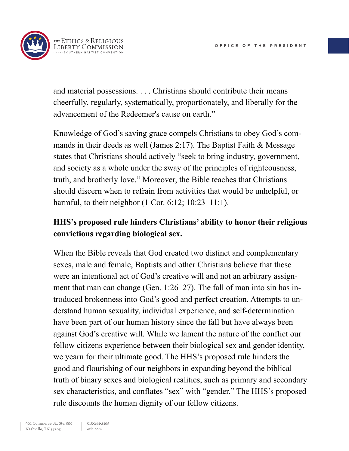

and material possessions. . . . Christians should contribute their means cheerfully, regularly, systematically, proportionately, and liberally for the advancement of the Redeemer's cause on earth."

Knowledge of God's saving grace compels Christians to obey God's commands in their deeds as well (James 2:17). The Baptist Faith  $&$  Message states that Christians should actively "seek to bring industry, government, and society as a whole under the sway of the principles of righteousness, truth, and brotherly love." Moreover, the Bible teaches that Christians should discern when to refrain from activities that would be unhelpful, or harmful, to their neighbor (1 Cor. 6:12; 10:23–11:1).

# **HHS's proposed rule hinders Christians' ability to honor their religious convictions regarding biological sex.**

When the Bible reveals that God created two distinct and complementary sexes, male and female, Baptists and other Christians believe that these were an intentional act of God's creative will and not an arbitrary assignment that man can change (Gen. 1:26–27). The fall of man into sin has introduced brokenness into God's good and perfect creation. Attempts to understand human sexuality, individual experience, and self-determination have been part of our human history since the fall but have always been against God's creative will. While we lament the nature of the conflict our fellow citizens experience between their biological sex and gender identity, we yearn for their ultimate good. The HHS's proposed rule hinders the good and flourishing of our neighbors in expanding beyond the biblical truth of binary sexes and biological realities, such as primary and secondary sex characteristics, and conflates "sex" with "gender." The HHS's proposed rule discounts the human dignity of our fellow citizens.